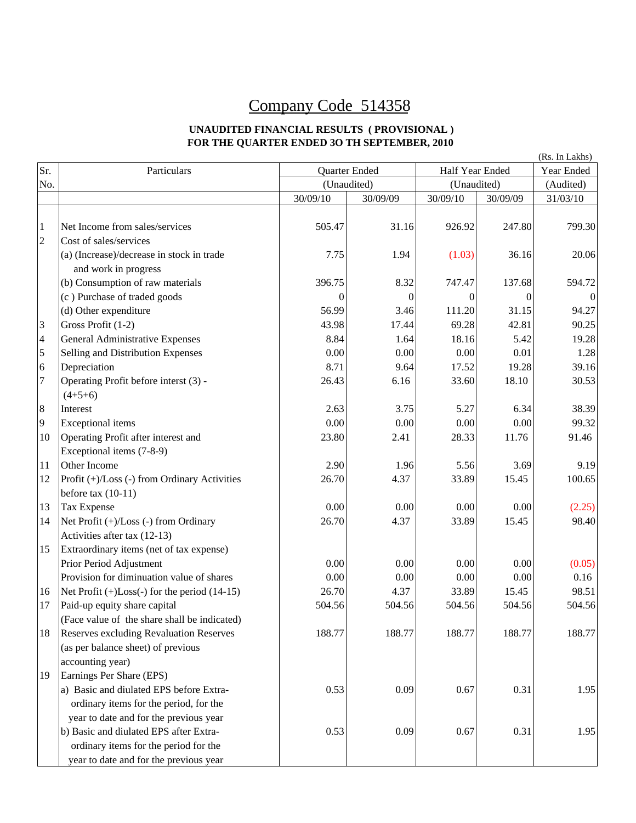## Company Code 514358

## **UNAUDITED FINANCIAL RESULTS ( PROVISIONAL ) FOR THE QUARTER ENDED 3O TH SEPTEMBER, 2010**

|                |                                              |                  |               |          |                 | (Rs. In Lakhs) |
|----------------|----------------------------------------------|------------------|---------------|----------|-----------------|----------------|
| Sr.            | Particulars                                  |                  | Quarter Ended |          | Half Year Ended |                |
| No.            |                                              |                  | (Unaudited)   |          | (Unaudited)     |                |
|                |                                              | 30/09/10         | 30/09/09      | 30/09/10 | 30/09/09        | 31/03/10       |
|                |                                              |                  |               |          |                 |                |
| $\mathbf{1}$   | Net Income from sales/services               | 505.47           | 31.16         | 926.92   | 247.80          | 799.30         |
| $\overline{c}$ | Cost of sales/services                       |                  |               |          |                 |                |
|                | (a) (Increase)/decrease in stock in trade    | 7.75             | 1.94          | (1.03)   | 36.16           | 20.06          |
|                | and work in progress                         |                  |               |          |                 |                |
|                | (b) Consumption of raw materials             | 396.75           | 8.32          | 747.47   | 137.68          | 594.72         |
|                | (c) Purchase of traded goods                 | $\boldsymbol{0}$ | 0             | 0        | $\theta$        | $\theta$       |
|                | (d) Other expenditure                        | 56.99            | 3.46          | 111.20   | 31.15           | 94.27          |
| 3              | Gross Profit (1-2)                           | 43.98            | 17.44         | 69.28    | 42.81           | 90.25          |
| $\overline{4}$ | General Administrative Expenses              | 8.84             | 1.64          | 18.16    | 5.42            | 19.28          |
| 5              | Selling and Distribution Expenses            | 0.00             | 0.00          | 0.00     | 0.01            | 1.28           |
| 6              | Depreciation                                 | 8.71             | 9.64          | 17.52    | 19.28           | 39.16          |
| $\overline{7}$ | Operating Profit before interst (3) -        | 26.43            | 6.16          | 33.60    | 18.10           | 30.53          |
|                | $(4+5+6)$                                    |                  |               |          |                 |                |
| $\,8\,$        | Interest                                     | 2.63             | 3.75          | 5.27     | 6.34            | 38.39          |
| 9              | <b>Exceptional</b> items                     | 0.00             | 0.00          | 0.00     | 0.00            | 99.32          |
| 10             | Operating Profit after interest and          | 23.80            | 2.41          | 28.33    | 11.76           | 91.46          |
|                | Exceptional items (7-8-9)                    |                  |               |          |                 |                |
| 11             | Other Income                                 | 2.90             | 1.96          | 5.56     | 3.69            | 9.19           |
| 12             | Profit (+)/Loss (-) from Ordinary Activities | 26.70            | 4.37          | 33.89    | 15.45           | 100.65         |
|                | before tax $(10-11)$                         |                  |               |          |                 |                |
| 13             | Tax Expense                                  | 0.00             | 0.00          | 0.00     | 0.00            | (2.25)         |
| 14             | Net Profit (+)/Loss (-) from Ordinary        | 26.70            | 4.37          | 33.89    | 15.45           | 98.40          |
|                | Activities after tax (12-13)                 |                  |               |          |                 |                |
| 15             | Extraordinary items (net of tax expense)     |                  |               |          |                 |                |
|                | Prior Period Adjustment                      | 0.00             | 0.00          | 0.00     | 0.00            | (0.05)         |
|                | Provision for diminuation value of shares    | 0.00             | 0.00          | 0.00     | 0.00            | 0.16           |
| 16             | Net Profit (+)Loss(-) for the period (14-15) | 26.70            | 4.37          | 33.89    | 15.45           | 98.51          |
| 17             | Paid-up equity share capital                 | 504.56           | 504.56        | 504.56   | 504.56          | 504.56         |
|                | (Face value of the share shall be indicated) |                  |               |          |                 |                |
| 18             | Reserves excluding Revaluation Reserves      | 188.77           | 188.77        | 188.77   | 188.77          | 188.77         |
|                | (as per balance sheet) of previous           |                  |               |          |                 |                |
|                | accounting year)                             |                  |               |          |                 |                |
| 19             | Earnings Per Share (EPS)                     |                  |               |          |                 |                |
|                | a) Basic and diulated EPS before Extra-      | 0.53             | 0.09          | 0.67     | 0.31            | 1.95           |
|                | ordinary items for the period, for the       |                  |               |          |                 |                |
|                | year to date and for the previous year       |                  |               |          |                 |                |
|                | b) Basic and diulated EPS after Extra-       | 0.53             | 0.09          | 0.67     | 0.31            | 1.95           |
|                | ordinary items for the period for the        |                  |               |          |                 |                |
|                | year to date and for the previous year       |                  |               |          |                 |                |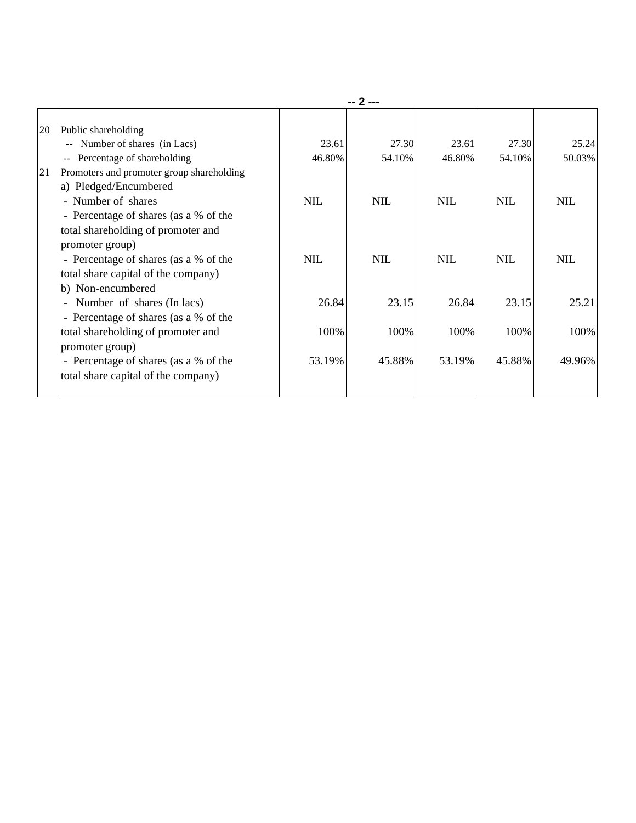| 20 | Public shareholding                                       |            |            |            |            |            |
|----|-----------------------------------------------------------|------------|------------|------------|------------|------------|
|    | Number of shares (in Lacs)<br>$\mathcal{L}_{\mathcal{F}}$ | 23.61      | 27.30      | 23.61      | 27.30      | 25.24      |
|    | Percentage of shareholding<br>$-$                         | 46.80%     | 54.10%     | 46.80%     | 54.10%     | 50.03%     |
| 21 | Promoters and promoter group shareholding                 |            |            |            |            |            |
|    | a) Pledged/Encumbered                                     |            |            |            |            |            |
|    | - Number of shares                                        | <b>NIL</b> | <b>NIL</b> | <b>NIL</b> | <b>NIL</b> | <b>NIL</b> |
|    | - Percentage of shares (as a % of the                     |            |            |            |            |            |
|    | total shareholding of promoter and                        |            |            |            |            |            |
|    | promoter group)                                           |            |            |            |            |            |
|    | - Percentage of shares (as a % of the                     | <b>NIL</b> | <b>NIL</b> | <b>NIL</b> | <b>NIL</b> | <b>NIL</b> |
|    | total share capital of the company)                       |            |            |            |            |            |
|    | b) Non-encumbered                                         |            |            |            |            |            |
|    | Number of shares (In lacs)<br>$\blacksquare$              | 26.84      | 23.15      | 26.84      | 23.15      | 25.21      |
|    | - Percentage of shares (as a % of the                     |            |            |            |            |            |
|    | total shareholding of promoter and                        | 100%       | 100%       | 100%       | 100%       | 100%       |
|    | promoter group)                                           |            |            |            |            |            |
|    | - Percentage of shares (as a % of the                     | 53.19%     | 45.88%     | 53.19%     | 45.88%     | 49.96%     |
|    | total share capital of the company)                       |            |            |            |            |            |
|    |                                                           |            |            |            |            |            |